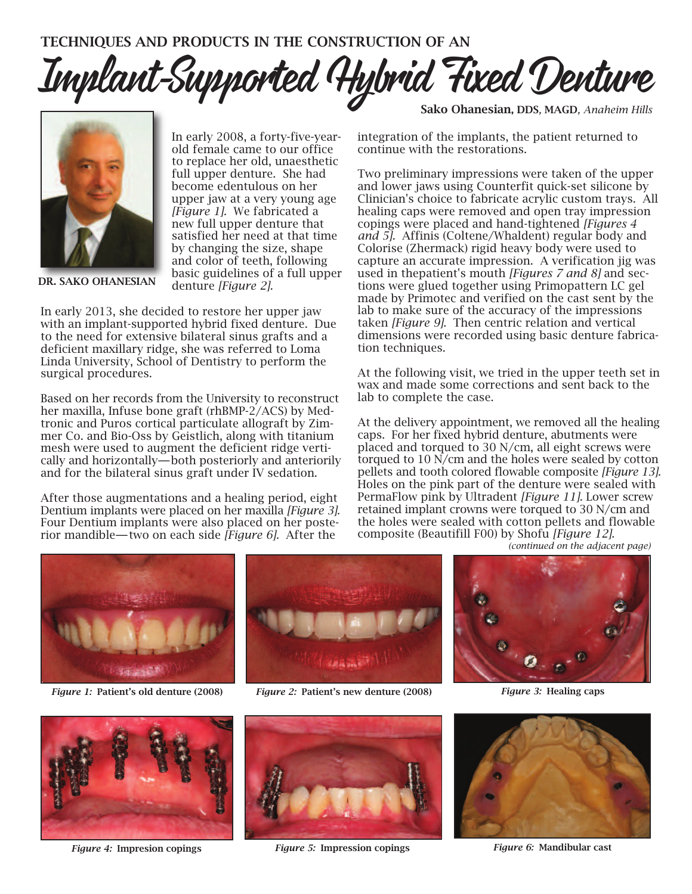Implant-Supported Hybrid Fixed Denture



In early 2008, a forty-five-yearold female came to our office to replace her old, unaesthetic full upper denture. She had become edentulous on her upper jaw at a very young age *[Figure 1].* We fabricated a new full upper denture that satisfied her need at that time by changing the size, shape and color of teeth, following basic guidelines of a full upper denture *[Figure 2].*

In early 2013, she decided to restore her upper jaw with an implant-supported hybrid fixed denture. Due to the need for extensive bilateral sinus grafts and a deficient maxillary ridge, she was referred to Loma Linda University, School of Dentistry to perform the surgical procedures.

Based on her records from the University to reconstruct her maxilla, Infuse bone graft (rhBMP-2/ACS) by Medtronic and Puros cortical particulate allograft by Zimmer Co. and Bio-Oss by Geistlich, along with titanium mesh were used to augment the deficient ridge vertically and horizontally—both posteriorly and anteriorily and for the bilateral sinus graft under IV sedation.

After those augmentations and a healing period, eight Dentium implants were placed on her maxilla *[Figure 3].* Four Dentium implants were also placed on her posterior mandible—two on each side *[Figure 6]*. After the

Sako Ohanesian, DDS*,* MAGD*, Anaheim Hills*

integration of the implants, the patient returned to continue with the restorations.

Two preliminary impressions were taken of the upper and lower jaws using Counterfit quick-set silicone by Clinician's choice to fabricate acrylic custom trays. All healing caps were removed and open tray impression copings were placed and hand-tightened *[Figures 4 and 5].* Affinis (Coltene/Whaldent) regular body and Colorise (Zhermack) rigid heavy body were used to capture an accurate impression. A verification jig was used in thepatient's mouth *[Figures 7 and 8]* and sections were glued together using Primopattern LC gel made by Primotec and verified on the cast sent by the lab to make sure of the accuracy of the impressions taken *[Figure 9].* Then centric relation and vertical dimensions were recorded using basic denture fabrication techniques.

At the following visit, we tried in the upper teeth set in wax and made some corrections and sent back to the lab to complete the case.

At the delivery appointment, we removed all the healing caps. For her fixed hybrid denture, abutments were placed and torqued to 30 N/cm, all eight screws were torqued to 10 N/cm and the holes were sealed by cotton pellets and tooth colored flowable composite *[Figure 13].* Holes on the pink part of the denture were sealed with PermaFlow pink by Ultradent *[Figure 11].* Lower screw retained implant crowns were torqued to 30 N/cm and the holes were sealed with cotton pellets and flowable composite (Beautifill F00) by Shofu *[Figure 12]. (continued on the adjacent page)*



*Figure 1:* Patient's old denture (2008) *Figure 2:* Patient's new denture (2008) *Figure 3:* Healing caps







*Figure 4:* Impresion copings *Figure 5:* Impression copings *Figure 6:* Mandibular cast